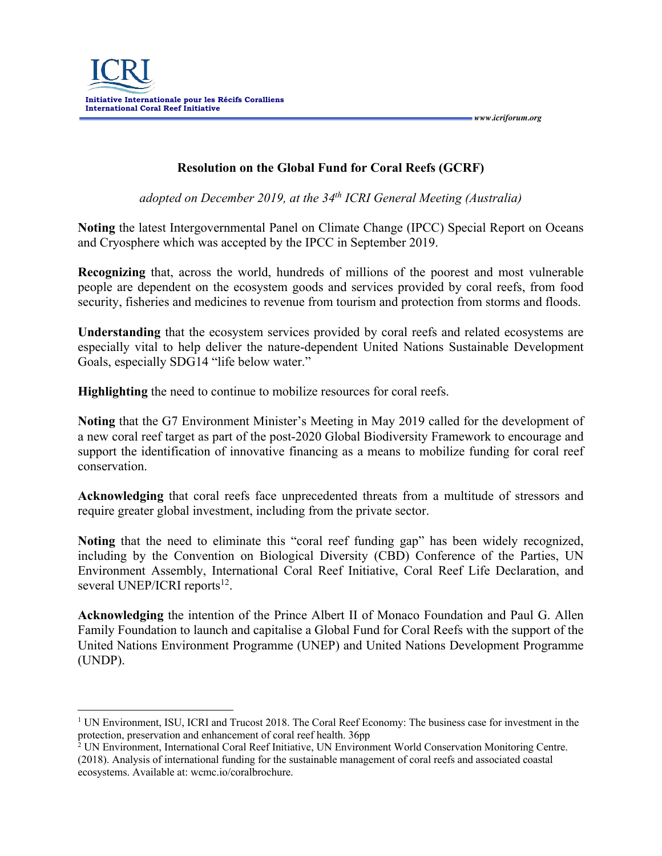*www.icriforum.org* 

## **Resolution on the Global Fund for Coral Reefs (GCRF)**

*adopted on December 2019, at the 34th ICRI General Meeting (Australia)*

**Noting** the latest Intergovernmental Panel on Climate Change (IPCC) Special Report on Oceans and Cryosphere which was accepted by the IPCC in September 2019.

**Recognizing** that, across the world, hundreds of millions of the poorest and most vulnerable people are dependent on the ecosystem goods and services provided by coral reefs, from food security, fisheries and medicines to revenue from tourism and protection from storms and floods.

**Understanding** that the ecosystem services provided by coral reefs and related ecosystems are especially vital to help deliver the nature-dependent United Nations Sustainable Development Goals, especially SDG14 "life below water."

**Highlighting** the need to continue to mobilize resources for coral reefs.

**Noting** that the G7 Environment Minister's Meeting in May 2019 called for the development of a new coral reef target as part of the post-2020 Global Biodiversity Framework to encourage and support the identification of innovative financing as a means to mobilize funding for coral reef conservation.

**Acknowledging** that coral reefs face unprecedented threats from a multitude of stressors and require greater global investment, including from the private sector.

**Noting** that the need to eliminate this "coral reef funding gap" has been widely recognized, including by the Convention on Biological Diversity (CBD) Conference of the Parties, UN Environment Assembly, International Coral Reef Initiative, Coral Reef Life Declaration, and several UNEP/ICRI reports<sup>12</sup>.

**Acknowledging** the intention of the Prince Albert II of Monaco Foundation and Paul G. Allen Family Foundation to launch and capitalise a Global Fund for Coral Reefs with the support of the United Nations Environment Programme (UNEP) and United Nations Development Programme (UNDP).

<sup>1</sup> UN Environment, ISU, ICRI and Trucost 2018. The Coral Reef Economy: The business case for investment in the protection, preservation and enhancement of coral reef health. 36pp

<sup>&</sup>lt;sup>2</sup> UN Environment, International Coral Reef Initiative, UN Environment World Conservation Monitoring Centre. (2018). Analysis of international funding for the sustainable management of coral reefs and associated coastal ecosystems. Available at: wcmc.io/coralbrochure.